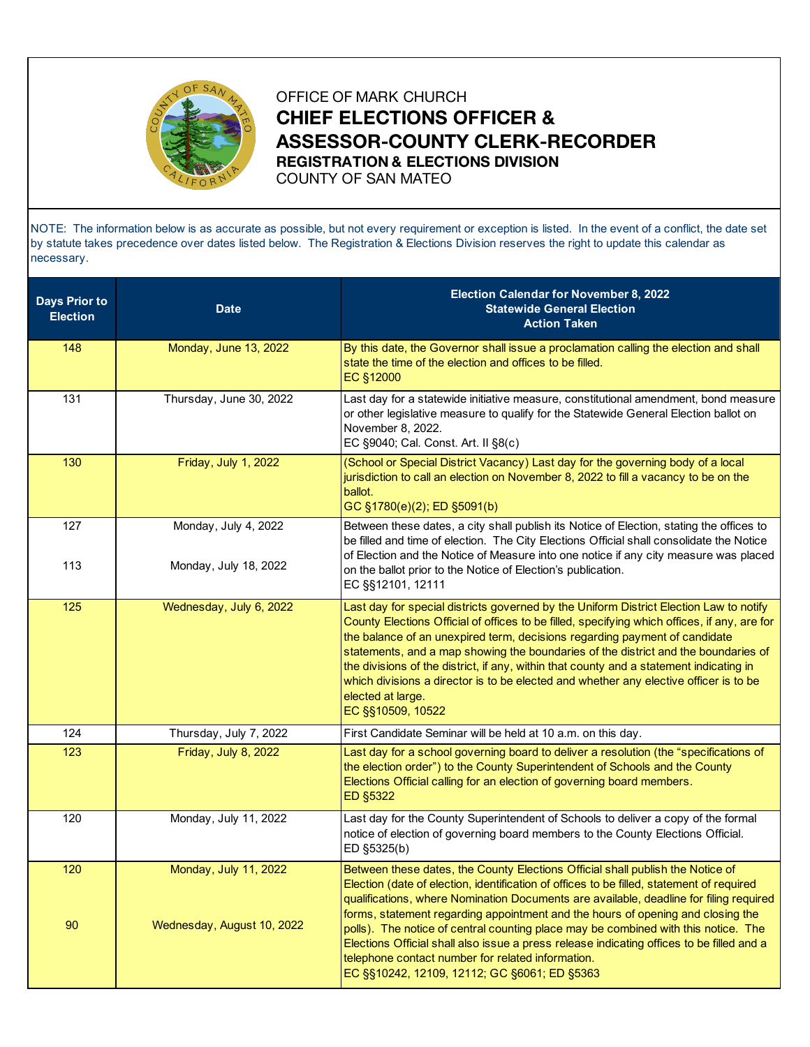

OFFICE OF MARK CHURCH **CHIEF ELECTIONS OFFICER & ASSESSOR-COUNTY CLERK-RECORDER REGISTRATION & ELECTIONS DIVISION** COUNTY OF SAN MATEO

NOTE: The information below is as accurate as possible, but not every requirement or exception is listed. In the event of a conflict, the date set by statute takes precedence over dates listed below. The Registration & Elections Division reserves the right to update this calendar as necessary.

| <b>Days Prior to</b><br><b>Election</b> | <b>Date</b>                                         | Election Calendar for November 8, 2022<br><b>Statewide General Election</b><br><b>Action Taken</b>                                                                                                                                                                                                                                                                                                                                                                                                                                                                                                                                               |
|-----------------------------------------|-----------------------------------------------------|--------------------------------------------------------------------------------------------------------------------------------------------------------------------------------------------------------------------------------------------------------------------------------------------------------------------------------------------------------------------------------------------------------------------------------------------------------------------------------------------------------------------------------------------------------------------------------------------------------------------------------------------------|
| 148                                     | Monday, June 13, 2022                               | By this date, the Governor shall issue a proclamation calling the election and shall<br>state the time of the election and offices to be filled.<br>EC §12000                                                                                                                                                                                                                                                                                                                                                                                                                                                                                    |
| 131                                     | Thursday, June 30, 2022                             | Last day for a statewide initiative measure, constitutional amendment, bond measure<br>or other legislative measure to qualify for the Statewide General Election ballot on<br>November 8, 2022.<br>EC §9040; Cal. Const. Art. II §8(c)                                                                                                                                                                                                                                                                                                                                                                                                          |
| 130                                     | Friday, July 1, 2022                                | (School or Special District Vacancy) Last day for the governing body of a local<br>jurisdiction to call an election on November 8, 2022 to fill a vacancy to be on the<br>ballot.<br>GC §1780(e)(2); ED §5091(b)                                                                                                                                                                                                                                                                                                                                                                                                                                 |
| 127<br>113                              | Monday, July 4, 2022<br>Monday, July 18, 2022       | Between these dates, a city shall publish its Notice of Election, stating the offices to<br>be filled and time of election. The City Elections Official shall consolidate the Notice<br>of Election and the Notice of Measure into one notice if any city measure was placed<br>on the ballot prior to the Notice of Election's publication.<br>EC §§12101, 12111                                                                                                                                                                                                                                                                                |
| 125                                     | Wednesday, July 6, 2022                             | Last day for special districts governed by the Uniform District Election Law to notify<br>County Elections Official of offices to be filled, specifying which offices, if any, are for<br>the balance of an unexpired term, decisions regarding payment of candidate<br>statements, and a map showing the boundaries of the district and the boundaries of<br>the divisions of the district, if any, within that county and a statement indicating in<br>which divisions a director is to be elected and whether any elective officer is to be<br>elected at large.<br>EC §§10509, 10522                                                         |
| 124                                     | Thursday, July 7, 2022                              | First Candidate Seminar will be held at 10 a.m. on this day.                                                                                                                                                                                                                                                                                                                                                                                                                                                                                                                                                                                     |
| 123                                     | Friday, July 8, 2022                                | Last day for a school governing board to deliver a resolution (the "specifications of<br>the election order") to the County Superintendent of Schools and the County<br>Elections Official calling for an election of governing board members.<br>ED §5322                                                                                                                                                                                                                                                                                                                                                                                       |
| 120                                     | Monday, July 11, 2022                               | Last day for the County Superintendent of Schools to deliver a copy of the formal<br>notice of election of governing board members to the County Elections Official.<br>ED §5325(b)                                                                                                                                                                                                                                                                                                                                                                                                                                                              |
| 120<br>90                               | Monday, July 11, 2022<br>Wednesday, August 10, 2022 | Between these dates, the County Elections Official shall publish the Notice of<br>Election (date of election, identification of offices to be filled, statement of required<br>qualifications, where Nomination Documents are available, deadline for filing required<br>forms, statement regarding appointment and the hours of opening and closing the<br>polls). The notice of central counting place may be combined with this notice. The<br>Elections Official shall also issue a press release indicating offices to be filled and a<br>telephone contact number for related information.<br>EC §§10242, 12109, 12112; GC §6061; ED §5363 |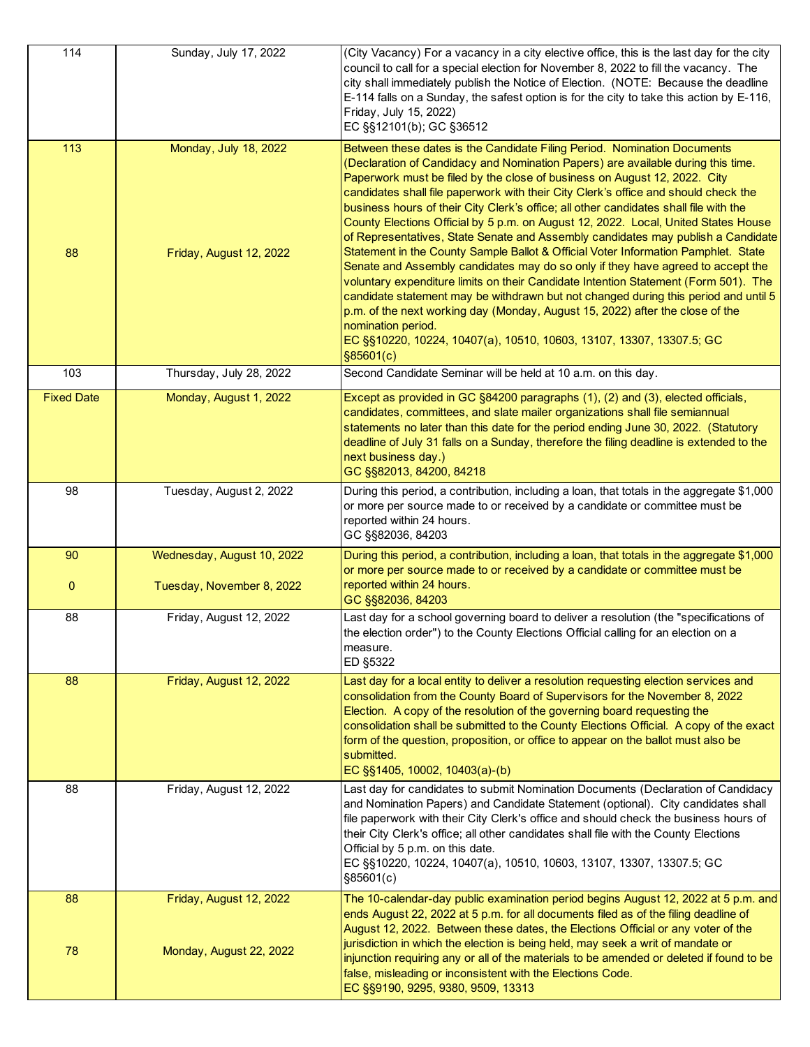| 114               | Sunday, July 17, 2022                              | (City Vacancy) For a vacancy in a city elective office, this is the last day for the city<br>council to call for a special election for November 8, 2022 to fill the vacancy. The<br>city shall immediately publish the Notice of Election. (NOTE: Because the deadline<br>E-114 falls on a Sunday, the safest option is for the city to take this action by E-116,<br>Friday, July 15, 2022)<br>EC §§12101(b); GC §36512                                                                                                                                                                                                                                                                                                                                                                                                                                           |
|-------------------|----------------------------------------------------|---------------------------------------------------------------------------------------------------------------------------------------------------------------------------------------------------------------------------------------------------------------------------------------------------------------------------------------------------------------------------------------------------------------------------------------------------------------------------------------------------------------------------------------------------------------------------------------------------------------------------------------------------------------------------------------------------------------------------------------------------------------------------------------------------------------------------------------------------------------------|
| 113<br>88         | Monday, July 18, 2022<br>Friday, August 12, 2022   | Between these dates is the Candidate Filing Period. Nomination Documents<br>(Declaration of Candidacy and Nomination Papers) are available during this time.<br>Paperwork must be filed by the close of business on August 12, 2022. City<br>candidates shall file paperwork with their City Clerk's office and should check the<br>business hours of their City Clerk's office; all other candidates shall file with the<br>County Elections Official by 5 p.m. on August 12, 2022. Local, United States House<br>of Representatives, State Senate and Assembly candidates may publish a Candidate<br>Statement in the County Sample Ballot & Official Voter Information Pamphlet. State<br>Senate and Assembly candidates may do so only if they have agreed to accept the<br>voluntary expenditure limits on their Candidate Intention Statement (Form 501). The |
|                   |                                                    | candidate statement may be withdrawn but not changed during this period and until 5<br>p.m. of the next working day (Monday, August 15, 2022) after the close of the<br>nomination period.<br>EC §§10220, 10224, 10407(a), 10510, 10603, 13107, 13307, 13307.5; GC<br>\$85601(c)                                                                                                                                                                                                                                                                                                                                                                                                                                                                                                                                                                                    |
| 103               | Thursday, July 28, 2022                            | Second Candidate Seminar will be held at 10 a.m. on this day.                                                                                                                                                                                                                                                                                                                                                                                                                                                                                                                                                                                                                                                                                                                                                                                                       |
| <b>Fixed Date</b> | Monday, August 1, 2022                             | Except as provided in GC §84200 paragraphs (1), (2) and (3), elected officials,<br>candidates, committees, and slate mailer organizations shall file semiannual<br>statements no later than this date for the period ending June 30, 2022. (Statutory<br>deadline of July 31 falls on a Sunday, therefore the filing deadline is extended to the<br>next business day.)<br>GC §§82013, 84200, 84218                                                                                                                                                                                                                                                                                                                                                                                                                                                                 |
| 98                | Tuesday, August 2, 2022                            | During this period, a contribution, including a loan, that totals in the aggregate \$1,000<br>or more per source made to or received by a candidate or committee must be<br>reported within 24 hours.<br>GC §§82036, 84203                                                                                                                                                                                                                                                                                                                                                                                                                                                                                                                                                                                                                                          |
| 90                | Wednesday, August 10, 2022                         | During this period, a contribution, including a loan, that totals in the aggregate \$1,000<br>or more per source made to or received by a candidate or committee must be                                                                                                                                                                                                                                                                                                                                                                                                                                                                                                                                                                                                                                                                                            |
| $\mathbf 0$       | Tuesday, November 8, 2022                          | reported within 24 hours.<br>GC §§82036, 84203                                                                                                                                                                                                                                                                                                                                                                                                                                                                                                                                                                                                                                                                                                                                                                                                                      |
| 88                | Friday, August 12, 2022                            | Last day for a school governing board to deliver a resolution (the "specifications of<br>the election order") to the County Elections Official calling for an election on a<br>measure.<br>ED §5322                                                                                                                                                                                                                                                                                                                                                                                                                                                                                                                                                                                                                                                                 |
| 88                | Friday, August 12, 2022                            | Last day for a local entity to deliver a resolution requesting election services and<br>consolidation from the County Board of Supervisors for the November 8, 2022<br>Election. A copy of the resolution of the governing board requesting the<br>consolidation shall be submitted to the County Elections Official. A copy of the exact<br>form of the question, proposition, or office to appear on the ballot must also be<br>submitted.<br>EC §§1405, 10002, 10403(a)-(b)                                                                                                                                                                                                                                                                                                                                                                                      |
| 88                | Friday, August 12, 2022                            | Last day for candidates to submit Nomination Documents (Declaration of Candidacy<br>and Nomination Papers) and Candidate Statement (optional). City candidates shall<br>file paperwork with their City Clerk's office and should check the business hours of<br>their City Clerk's office; all other candidates shall file with the County Elections<br>Official by 5 p.m. on this date.<br>EC §§10220, 10224, 10407(a), 10510, 10603, 13107, 13307, 13307.5; GC<br>\$85601(c)                                                                                                                                                                                                                                                                                                                                                                                      |
| 88<br>78          | Friday, August 12, 2022<br>Monday, August 22, 2022 | The 10-calendar-day public examination period begins August 12, 2022 at 5 p.m. and<br>ends August 22, 2022 at 5 p.m. for all documents filed as of the filing deadline of<br>August 12, 2022. Between these dates, the Elections Official or any voter of the<br>jurisdiction in which the election is being held, may seek a writ of mandate or<br>injunction requiring any or all of the materials to be amended or deleted if found to be<br>false, misleading or inconsistent with the Elections Code.<br>EC §§9190, 9295, 9380, 9509, 13313                                                                                                                                                                                                                                                                                                                    |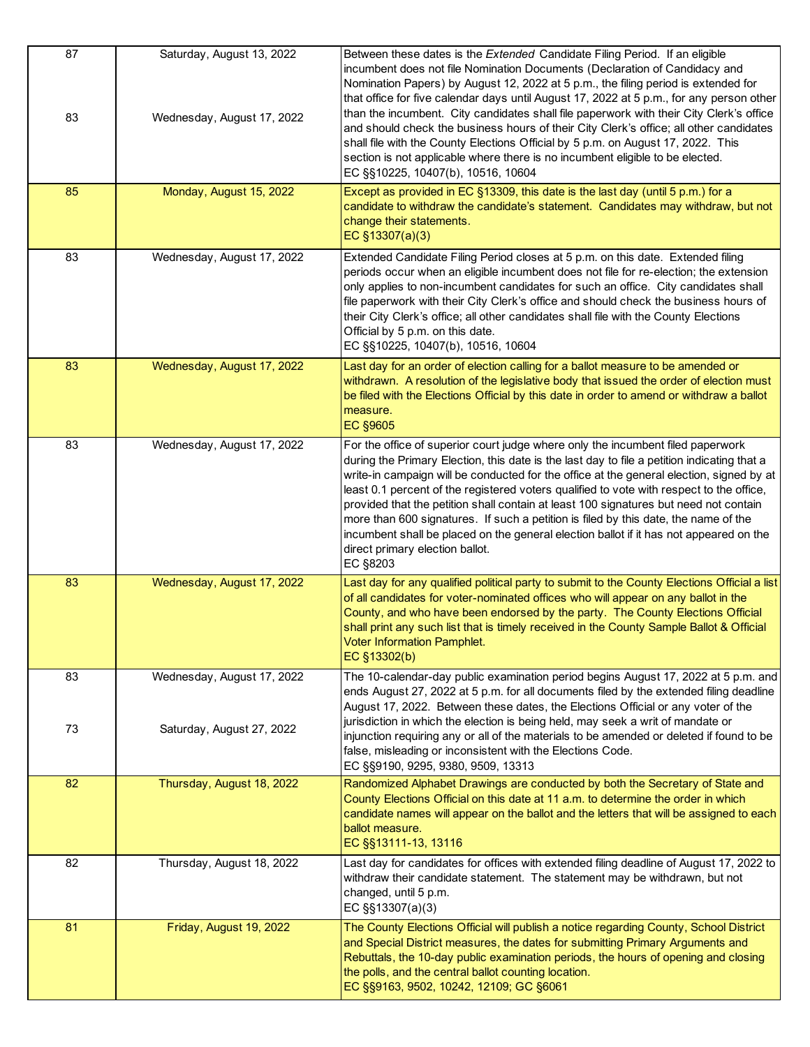| 87       | Saturday, August 13, 2022                               | Between these dates is the Extended Candidate Filing Period. If an eligible<br>incumbent does not file Nomination Documents (Declaration of Candidacy and<br>Nomination Papers) by August 12, 2022 at 5 p.m., the filing period is extended for<br>that office for five calendar days until August 17, 2022 at 5 p.m., for any person other                                                                                                                                                                                                                                                                                                                                                     |
|----------|---------------------------------------------------------|-------------------------------------------------------------------------------------------------------------------------------------------------------------------------------------------------------------------------------------------------------------------------------------------------------------------------------------------------------------------------------------------------------------------------------------------------------------------------------------------------------------------------------------------------------------------------------------------------------------------------------------------------------------------------------------------------|
| 83       | Wednesday, August 17, 2022                              | than the incumbent. City candidates shall file paperwork with their City Clerk's office<br>and should check the business hours of their City Clerk's office; all other candidates<br>shall file with the County Elections Official by 5 p.m. on August 17, 2022. This<br>section is not applicable where there is no incumbent eligible to be elected.<br>EC §§10225, 10407(b), 10516, 10604                                                                                                                                                                                                                                                                                                    |
| 85       | Monday, August 15, 2022                                 | Except as provided in EC §13309, this date is the last day (until 5 p.m.) for a<br>candidate to withdraw the candidate's statement. Candidates may withdraw, but not<br>change their statements.<br>EC $§13307(a)(3)$                                                                                                                                                                                                                                                                                                                                                                                                                                                                           |
| 83       | Wednesday, August 17, 2022                              | Extended Candidate Filing Period closes at 5 p.m. on this date. Extended filing<br>periods occur when an eligible incumbent does not file for re-election; the extension<br>only applies to non-incumbent candidates for such an office. City candidates shall<br>file paperwork with their City Clerk's office and should check the business hours of<br>their City Clerk's office; all other candidates shall file with the County Elections<br>Official by 5 p.m. on this date.<br>EC §§10225, 10407(b), 10516, 10604                                                                                                                                                                        |
| 83       | Wednesday, August 17, 2022                              | Last day for an order of election calling for a ballot measure to be amended or<br>withdrawn. A resolution of the legislative body that issued the order of election must<br>be filed with the Elections Official by this date in order to amend or withdraw a ballot<br>measure.<br><b>EC §9605</b>                                                                                                                                                                                                                                                                                                                                                                                            |
| 83       | Wednesday, August 17, 2022                              | For the office of superior court judge where only the incumbent filed paperwork<br>during the Primary Election, this date is the last day to file a petition indicating that a<br>write-in campaign will be conducted for the office at the general election, signed by at<br>least 0.1 percent of the registered voters qualified to vote with respect to the office,<br>provided that the petition shall contain at least 100 signatures but need not contain<br>more than 600 signatures. If such a petition is filed by this date, the name of the<br>incumbent shall be placed on the general election ballot if it has not appeared on the<br>direct primary election ballot.<br>EC §8203 |
| 83       | Wednesday, August 17, 2022                              | Last day for any qualified political party to submit to the County Elections Official a list<br>of all candidates for voter-nominated offices who will appear on any ballot in the<br>County, and who have been endorsed by the party. The County Elections Official<br>shall print any such list that is timely received in the County Sample Ballot & Official<br>Voter Information Pamphlet.<br>EC §13302(b)                                                                                                                                                                                                                                                                                 |
| 83<br>73 | Wednesday, August 17, 2022<br>Saturday, August 27, 2022 | The 10-calendar-day public examination period begins August 17, 2022 at 5 p.m. and<br>ends August 27, 2022 at 5 p.m. for all documents filed by the extended filing deadline<br>August 17, 2022. Between these dates, the Elections Official or any voter of the<br>jurisdiction in which the election is being held, may seek a writ of mandate or<br>injunction requiring any or all of the materials to be amended or deleted if found to be<br>false, misleading or inconsistent with the Elections Code.<br>EC §§9190, 9295, 9380, 9509, 13313                                                                                                                                             |
| 82       | Thursday, August 18, 2022                               | Randomized Alphabet Drawings are conducted by both the Secretary of State and<br>County Elections Official on this date at 11 a.m. to determine the order in which<br>candidate names will appear on the ballot and the letters that will be assigned to each<br>ballot measure.<br>EC §§13111-13, 13116                                                                                                                                                                                                                                                                                                                                                                                        |
| 82       | Thursday, August 18, 2022                               | Last day for candidates for offices with extended filing deadline of August 17, 2022 to<br>withdraw their candidate statement. The statement may be withdrawn, but not<br>changed, until 5 p.m.<br>EC §§13307(a)(3)                                                                                                                                                                                                                                                                                                                                                                                                                                                                             |
| 81       | Friday, August 19, 2022                                 | The County Elections Official will publish a notice regarding County, School District<br>and Special District measures, the dates for submitting Primary Arguments and<br>Rebuttals, the 10-day public examination periods, the hours of opening and closing<br>the polls, and the central ballot counting location.<br>EC §§9163, 9502, 10242, 12109; GC §6061                                                                                                                                                                                                                                                                                                                                 |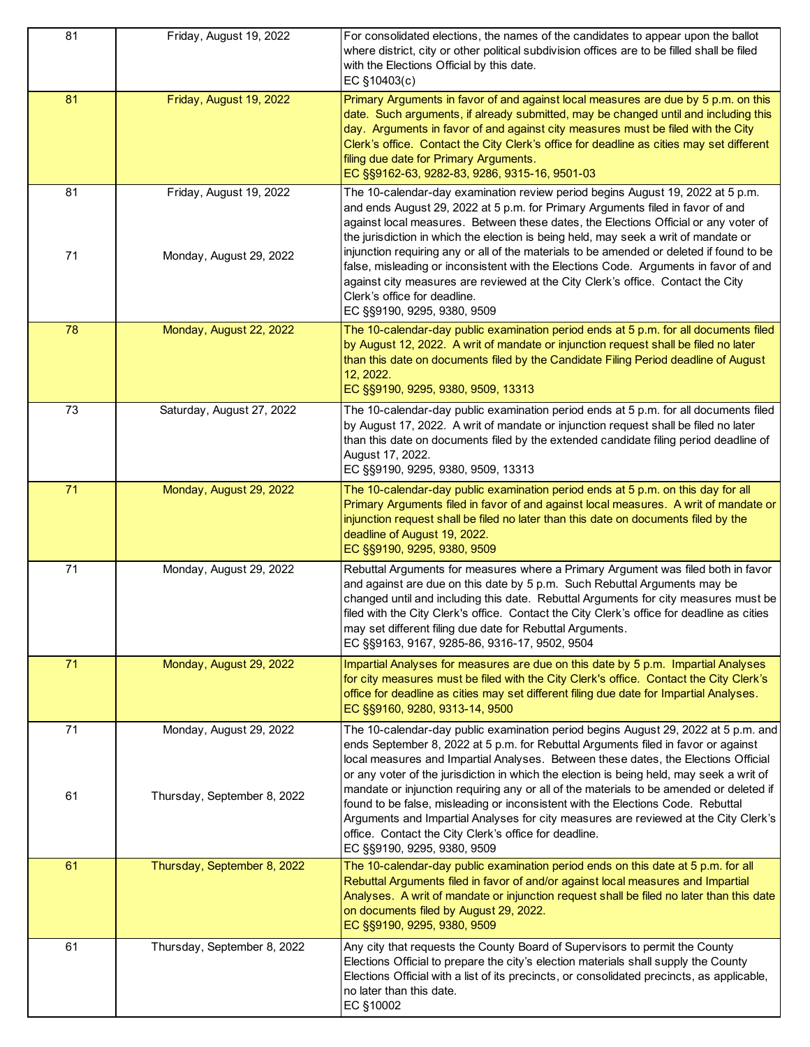| 81 | Friday, August 19, 2022     | For consolidated elections, the names of the candidates to appear upon the ballot<br>where district, city or other political subdivision offices are to be filled shall be filed<br>with the Elections Official by this date.<br>EC §10403(c)                                                                                                                                                                                                                    |
|----|-----------------------------|------------------------------------------------------------------------------------------------------------------------------------------------------------------------------------------------------------------------------------------------------------------------------------------------------------------------------------------------------------------------------------------------------------------------------------------------------------------|
| 81 | Friday, August 19, 2022     | Primary Arguments in favor of and against local measures are due by 5 p.m. on this<br>date. Such arguments, if already submitted, may be changed until and including this<br>day. Arguments in favor of and against city measures must be filed with the City<br>Clerk's office. Contact the City Clerk's office for deadline as cities may set different<br>filing due date for Primary Arguments.<br>EC §§9162-63, 9282-83, 9286, 9315-16, 9501-03             |
| 81 | Friday, August 19, 2022     | The 10-calendar-day examination review period begins August 19, 2022 at 5 p.m.<br>and ends August 29, 2022 at 5 p.m. for Primary Arguments filed in favor of and<br>against local measures. Between these dates, the Elections Official or any voter of<br>the jurisdiction in which the election is being held, may seek a writ of mandate or                                                                                                                   |
| 71 | Monday, August 29, 2022     | injunction requiring any or all of the materials to be amended or deleted if found to be<br>false, misleading or inconsistent with the Elections Code. Arguments in favor of and<br>against city measures are reviewed at the City Clerk's office. Contact the City<br>Clerk's office for deadline.<br>EC §§9190, 9295, 9380, 9509                                                                                                                               |
| 78 | Monday, August 22, 2022     | The 10-calendar-day public examination period ends at 5 p.m. for all documents filed<br>by August 12, 2022. A writ of mandate or injunction request shall be filed no later<br>than this date on documents filed by the Candidate Filing Period deadline of August<br>12, 2022.<br>EC §§9190, 9295, 9380, 9509, 13313                                                                                                                                            |
| 73 | Saturday, August 27, 2022   | The 10-calendar-day public examination period ends at 5 p.m. for all documents filed<br>by August 17, 2022. A writ of mandate or injunction request shall be filed no later<br>than this date on documents filed by the extended candidate filing period deadline of<br>August 17, 2022.<br>EC §§9190, 9295, 9380, 9509, 13313                                                                                                                                   |
| 71 | Monday, August 29, 2022     | The 10-calendar-day public examination period ends at 5 p.m. on this day for all<br>Primary Arguments filed in favor of and against local measures. A writ of mandate or<br>injunction request shall be filed no later than this date on documents filed by the<br>deadline of August 19, 2022.<br>EC §§9190, 9295, 9380, 9509                                                                                                                                   |
| 71 | Monday, August 29, 2022     | Rebuttal Arguments for measures where a Primary Argument was filed both in favor<br>and against are due on this date by 5 p.m. Such Rebuttal Arguments may be<br>changed until and including this date. Rebuttal Arguments for city measures must be<br>filed with the City Clerk's office. Contact the City Clerk's office for deadline as cities<br>may set different filing due date for Rebuttal Arguments.<br>EC §§9163, 9167, 9285-86, 9316-17, 9502, 9504 |
| 71 | Monday, August 29, 2022     | Impartial Analyses for measures are due on this date by 5 p.m. Impartial Analyses<br>for city measures must be filed with the City Clerk's office. Contact the City Clerk's<br>office for deadline as cities may set different filing due date for Impartial Analyses.<br>EC §§9160, 9280, 9313-14, 9500                                                                                                                                                         |
| 71 | Monday, August 29, 2022     | The 10-calendar-day public examination period begins August 29, 2022 at 5 p.m. and<br>ends September 8, 2022 at 5 p.m. for Rebuttal Arguments filed in favor or against<br>local measures and Impartial Analyses. Between these dates, the Elections Official<br>or any voter of the jurisdiction in which the election is being held, may seek a writ of                                                                                                        |
| 61 | Thursday, September 8, 2022 | mandate or injunction requiring any or all of the materials to be amended or deleted if<br>found to be false, misleading or inconsistent with the Elections Code. Rebuttal<br>Arguments and Impartial Analyses for city measures are reviewed at the City Clerk's<br>office. Contact the City Clerk's office for deadline.<br>EC §§9190, 9295, 9380, 9509                                                                                                        |
| 61 | Thursday, September 8, 2022 | The 10-calendar-day public examination period ends on this date at 5 p.m. for all<br>Rebuttal Arguments filed in favor of and/or against local measures and Impartial<br>Analyses. A writ of mandate or injunction request shall be filed no later than this date<br>on documents filed by August 29, 2022.<br>EC §§9190, 9295, 9380, 9509                                                                                                                       |
| 61 | Thursday, September 8, 2022 | Any city that requests the County Board of Supervisors to permit the County<br>Elections Official to prepare the city's election materials shall supply the County<br>Elections Official with a list of its precincts, or consolidated precincts, as applicable,<br>no later than this date.<br>EC §10002                                                                                                                                                        |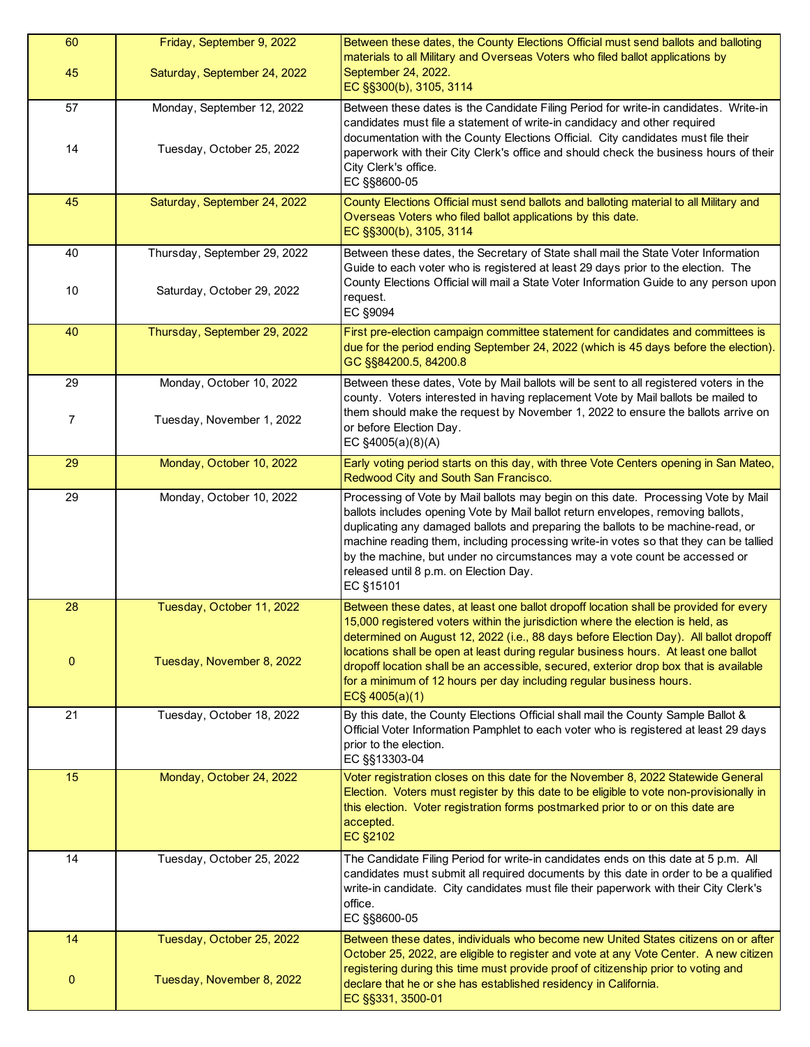| 60<br>45           | Friday, September 9, 2022<br>Saturday, September 24, 2022  | Between these dates, the County Elections Official must send ballots and balloting<br>materials to all Military and Overseas Voters who filed ballot applications by<br>September 24, 2022.<br>EC §§300(b), 3105, 3114                                                                                                                                                                                                                                                                                                                       |
|--------------------|------------------------------------------------------------|----------------------------------------------------------------------------------------------------------------------------------------------------------------------------------------------------------------------------------------------------------------------------------------------------------------------------------------------------------------------------------------------------------------------------------------------------------------------------------------------------------------------------------------------|
| 57<br>14           | Monday, September 12, 2022<br>Tuesday, October 25, 2022    | Between these dates is the Candidate Filing Period for write-in candidates. Write-in<br>candidates must file a statement of write-in candidacy and other required<br>documentation with the County Elections Official. City candidates must file their<br>paperwork with their City Clerk's office and should check the business hours of their<br>City Clerk's office.<br>EC §§8600-05                                                                                                                                                      |
| 45                 | Saturday, September 24, 2022                               | County Elections Official must send ballots and balloting material to all Military and<br>Overseas Voters who filed ballot applications by this date.<br>EC §§300(b), 3105, 3114                                                                                                                                                                                                                                                                                                                                                             |
| 40<br>10           | Thursday, September 29, 2022<br>Saturday, October 29, 2022 | Between these dates, the Secretary of State shall mail the State Voter Information<br>Guide to each voter who is registered at least 29 days prior to the election. The<br>County Elections Official will mail a State Voter Information Guide to any person upon<br>request.<br>EC §9094                                                                                                                                                                                                                                                    |
| 40                 | Thursday, September 29, 2022                               | First pre-election campaign committee statement for candidates and committees is<br>due for the period ending September 24, 2022 (which is 45 days before the election).<br>GC §§84200.5, 84200.8                                                                                                                                                                                                                                                                                                                                            |
| 29                 | Monday, October 10, 2022                                   | Between these dates, Vote by Mail ballots will be sent to all registered voters in the<br>county. Voters interested in having replacement Vote by Mail ballots be mailed to<br>them should make the request by November 1, 2022 to ensure the ballots arrive on                                                                                                                                                                                                                                                                              |
| $\overline{7}$     | Tuesday, November 1, 2022                                  | or before Election Day.<br>EC §4005(a)(8)(A)                                                                                                                                                                                                                                                                                                                                                                                                                                                                                                 |
| 29                 | Monday, October 10, 2022                                   | Early voting period starts on this day, with three Vote Centers opening in San Mateo,<br>Redwood City and South San Francisco.                                                                                                                                                                                                                                                                                                                                                                                                               |
| 29                 | Monday, October 10, 2022                                   | Processing of Vote by Mail ballots may begin on this date. Processing Vote by Mail<br>ballots includes opening Vote by Mail ballot return envelopes, removing ballots,<br>duplicating any damaged ballots and preparing the ballots to be machine-read, or<br>machine reading them, including processing write-in votes so that they can be tallied<br>by the machine, but under no circumstances may a vote count be accessed or<br>released until 8 p.m. on Election Day.<br>EC §15101                                                     |
| 28<br>$\mathbf{0}$ | Tuesday, October 11, 2022<br>Tuesday, November 8, 2022     | Between these dates, at least one ballot dropoff location shall be provided for every<br>15,000 registered voters within the jurisdiction where the election is held, as<br>determined on August 12, 2022 (i.e., 88 days before Election Day). All ballot dropoff<br>locations shall be open at least during regular business hours. At least one ballot<br>dropoff location shall be an accessible, secured, exterior drop box that is available<br>for a minimum of 12 hours per day including regular business hours.<br>$EC\$ 4005(a)(1) |
| 21                 | Tuesday, October 18, 2022                                  | By this date, the County Elections Official shall mail the County Sample Ballot &<br>Official Voter Information Pamphlet to each voter who is registered at least 29 days<br>prior to the election.<br>EC §§13303-04                                                                                                                                                                                                                                                                                                                         |
| 15                 | Monday, October 24, 2022                                   | Voter registration closes on this date for the November 8, 2022 Statewide General<br>Election. Voters must register by this date to be eligible to vote non-provisionally in<br>this election. Voter registration forms postmarked prior to or on this date are<br>accepted.<br>EC §2102                                                                                                                                                                                                                                                     |
| 14                 | Tuesday, October 25, 2022                                  | The Candidate Filing Period for write-in candidates ends on this date at 5 p.m. All<br>candidates must submit all required documents by this date in order to be a qualified<br>write-in candidate. City candidates must file their paperwork with their City Clerk's<br>office.<br>EC §§8600-05                                                                                                                                                                                                                                             |
| 14                 | Tuesday, October 25, 2022                                  | Between these dates, individuals who become new United States citizens on or after<br>October 25, 2022, are eligible to register and vote at any Vote Center. A new citizen                                                                                                                                                                                                                                                                                                                                                                  |
| $\mathbf 0$        | Tuesday, November 8, 2022                                  | registering during this time must provide proof of citizenship prior to voting and<br>declare that he or she has established residency in California.<br>EC §§331, 3500-01                                                                                                                                                                                                                                                                                                                                                                   |